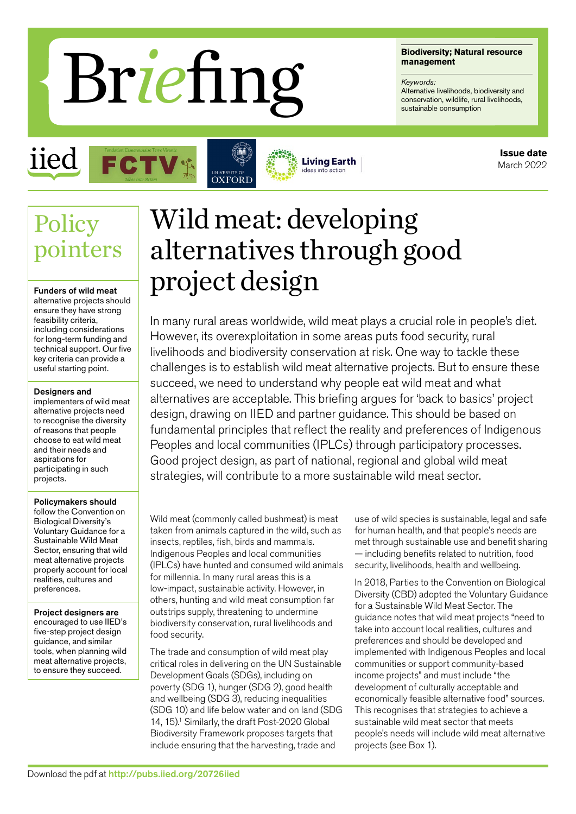#### **Biodiversity; Natural resource management**

*Keywords:* Alternative livelihoods, biodiversity and<br>conservation, wildlife, rural livelihoods, Biodiversity; Natural management<br> **COLOPEDDE**<br>
COLOPEDDE CONSUMERING SUSTAINS SUSTAINS SUSTAINS SUSTAINS SUSTAINS SUSTAINS CONSUMPTION

iied

**FCTV** 

**OXFORD** 

# **Living Earth** ideas into action

**Issue date** March 2022

# **Policy** pointers

Funders of wild meat alternative projects should ensure they have strong feasibility criteria, including considerations for long-term funding and technical support. Our five key criteria can provide a useful starting point.

### Designers and

implementers of wild meat alternative projects need to recognise the diversity of reasons that people choose to eat wild meat and their needs and aspirations for participating in such projects.

### Policymakers should

follow the Convention on Biological Diversity's Voluntary Guidance for a Sustainable Wild Meat Sector, ensuring that wild meat alternative projects properly account for local realities, cultures and preferences.

Project designers are encouraged to use IIED's five-step project design guidance, and similar tools, when planning wild meat alternative projects, to ensure they succeed.

# Wild meat: developing alternatives through good project design

In many rural areas worldwide, wild meat plays a crucial role in people's diet. However, its overexploitation in some areas puts food security, rural livelihoods and biodiversity conservation at risk. One way to tackle these challenges is to establish wild meat alternative projects. But to ensure these succeed, we need to understand why people eat wild meat and what alternatives are acceptable. This briefing argues for 'back to basics' project design, drawing on IIED and partner guidance. This should be based on fundamental principles that reflect the reality and preferences of Indigenous Peoples and local communities (IPLCs) through participatory processes. Good project design, as part of national, regional and global wild meat strategies, will contribute to a more sustainable wild meat sector.

Wild meat (commonly called bushmeat) is meat taken from animals captured in the wild, such as insects, reptiles, fish, birds and mammals. Indigenous Peoples and local communities (IPLCs) have hunted and consumed wild animals for millennia. In many rural areas this is a low-impact, sustainable activity. However, in others, hunting and wild meat consumption far outstrips supply, threatening to undermine biodiversity conservation, rural livelihoods and food security.

The trade and consumption of wild meat play critical roles in delivering on the UN Sustainable Development Goals (SDGs), including on poverty (SDG 1), hunger (SDG 2), good health and wellbeing (SDG 3), reducing inequalities (SDG 10) and life below water and on land (SDG 14, 15).<sup>1</sup> Similarly, the draft Post-2020 Global Biodiversity Framework proposes targets that include ensuring that the harvesting, trade and

use of wild species is sustainable, legal and safe for human health, and that people's needs are met through sustainable use and benefit sharing — including benefits related to nutrition, food security, livelihoods, health and wellbeing.

In 2018, Parties to the Convention on Biological Diversity (CBD) adopted the Voluntary Guidance for a Sustainable Wild Meat Sector. The guidance notes that wild meat projects "need to take into account local realities, cultures and preferences and should be developed and implemented with Indigenous Peoples and local communities or support community-based income projects" and must include "the development of culturally acceptable and economically feasible alternative food" sources. This recognises that strategies to achieve a sustainable wild meat sector that meets people's needs will include wild meat alternative projects (see Box 1).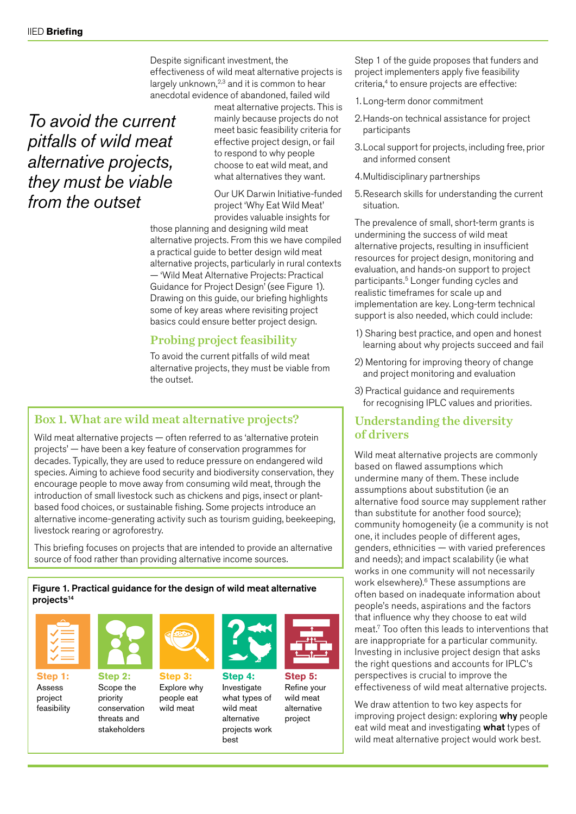Despite significant investment, the effectiveness of wild meat alternative projects is largely unknown, $2,3$  and it is common to hear anecdotal evidence of abandoned, failed wild

*To avoid the current pitfalls of wild meat alternative projects, they must be viable from the outset*

meat alternative projects. This is mainly because projects do not meet basic feasibility criteria for effective project design, or fail to respond to why people choose to eat wild meat, and what alternatives they want.

Our UK Darwin Initiative-funded project 'Why Eat Wild Meat' provides valuable insights for

those planning and designing wild meat alternative projects. From this we have compiled a practical guide to better design wild meat alternative projects, particularly in rural contexts — 'Wild Meat Alternative Projects: Practical Guidance for Project Design' (see Figure 1). Drawing on this guide, our briefing highlights some of key areas where revisiting project basics could ensure better project design.

## Probing project feasibility

To avoid the current pitfalls of wild meat alternative projects, they must be viable from the outset.

## Box 1. What are wild meat alternative projects?

Wild meat alternative projects — often referred to as 'alternative protein projects' — have been a key feature of conservation programmes for decades. Typically, they are used to reduce pressure on endangered wild species. Aiming to achieve food security and biodiversity conservation, they encourage people to move away from consuming wild meat, through the introduction of small livestock such as chickens and pigs, insect or plantbased food choices, or sustainable fishing. Some projects introduce an alternative income-generating activity such as tourism guiding, beekeeping, livestock rearing or agroforestry.

This briefing focuses on projects that are intended to provide an alternative source of food rather than providing alternative income sources.

## Figure 1. Practical guidance for the design of wild meat alternative projects<sup>14</sup>



Assess project feasibility



**Step 1: Step 2: Step 3: Step 4: Step 5:** Scope the priority conservation threats and stakeholders Explore why people eat wild meat



Investigate what types of wild meat alternative projects work best



Refine your wild meat alternative project

Step 1 of the guide proposes that funders and project implementers apply five feasibility criteria,<sup>4</sup> to ensure projects are effective:

- 1. Long-term donor commitment
- 2.Hands-on technical assistance for project participants
- 3.Local support for projects, including free, prior and informed consent
- 4.Multidisciplinary partnerships
- 5.Research skills for understanding the current situation.

The prevalence of small, short-term grants is undermining the success of wild meat alternative projects, resulting in insufficient resources for project design, monitoring and evaluation, and hands-on support to project participants.5 Longer funding cycles and realistic timeframes for scale up and implementation are key. Long-term technical support is also needed, which could include:

- 1) Sharing best practice, and open and honest learning about why projects succeed and fail
- 2) Mentoring for improving theory of change and project monitoring and evaluation
- 3) Practical guidance and requirements for recognising IPLC values and priorities.

## Understanding the diversity of drivers

Wild meat alternative projects are commonly based on flawed assumptions which undermine many of them. These include assumptions about substitution (ie an alternative food source may supplement rather than substitute for another food source); community homogeneity (ie a community is not one, it includes people of different ages, genders, ethnicities — with varied preferences and needs); and impact scalability (ie what works in one community will not necessarily work elsewhere).6 These assumptions are often based on inadequate information about people's needs, aspirations and the factors that influence why they choose to eat wild meat.7 Too often this leads to interventions that are inappropriate for a particular community. Investing in inclusive project design that asks the right questions and accounts for IPLC's perspectives is crucial to improve the effectiveness of wild meat alternative projects.

We draw attention to two key aspects for improving project design: exploring why people eat wild meat and investigating what types of wild meat alternative project would work best.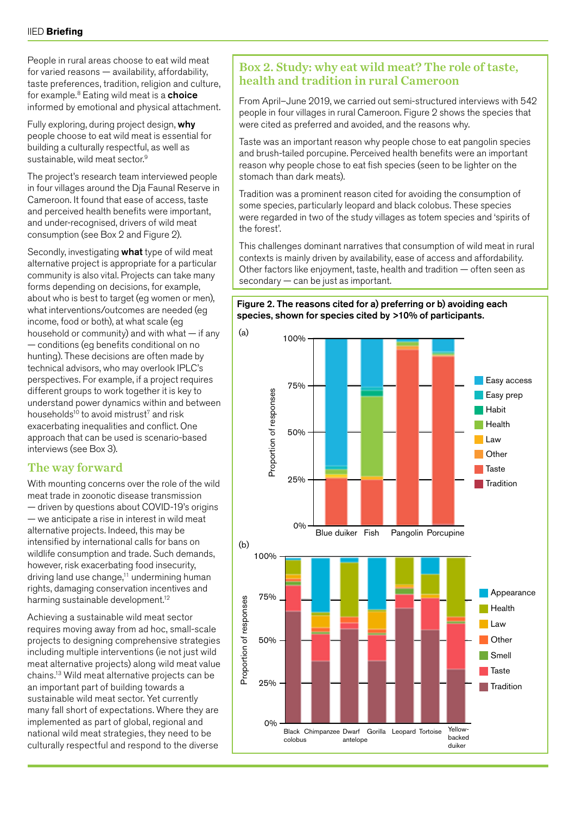People in rural areas choose to eat wild meat for varied reasons — availability, affordability, taste preferences, tradition, religion and culture, for example. $8$  Eating wild meat is a **choice** informed by emotional and physical attachment.

Fully exploring, during project design, why people choose to eat wild meat is essential for building a culturally respectful, as well as sustainable, wild meat sector.<sup>9</sup>

The project's research team interviewed people in four villages around the Dja Faunal Reserve in Cameroon. It found that ease of access, taste and perceived health benefits were important, and under-recognised, drivers of wild meat consumption (see Box 2 and Figure 2).

Secondly, investigating **what** type of wild meat alternative project is appropriate for a particular community is also vital. Projects can take many forms depending on decisions, for example, about who is best to target (eg women or men), what interventions/outcomes are needed (eg income, food or both), at what scale (eg household or community) and with what — if any — conditions (eg benefits conditional on no hunting). These decisions are often made by technical advisors, who may overlook IPLC's perspectives. For example, if a project requires different groups to work together it is key to understand power dynamics within and between households<sup>10</sup> to avoid mistrust<sup>7</sup> and risk exacerbating inequalities and conflict. One approach that can be used is scenario-based interviews (see Box 3).

## The way forward

With mounting concerns over the role of the wild meat trade in zoonotic disease transmission — driven by questions about COVID-19's origins — we anticipate a rise in interest in wild meat alternative projects. Indeed, this may be intensified by international calls for bans on wildlife consumption and trade. Such demands, however, risk exacerbating food insecurity, driving land use change,<sup>11</sup> undermining human rights, damaging conservation incentives and harming sustainable development.12

Achieving a sustainable wild meat sector requires moving away from ad hoc, small-scale projects to designing comprehensive strategies including multiple interventions (ie not just wild meat alternative projects) along wild meat value chains.13 Wild meat alternative projects can be an important part of building towards a sustainable wild meat sector. Yet currently many fall short of expectations. Where they are implemented as part of global, regional and national wild meat strategies, they need to be culturally respectful and respond to the diverse

### Box 2. Study: why eat wild meat? The role of taste, health and tradition in rural Cameroon

From April–June 2019, we carried out semi-structured interviews with 542 people in four villages in rural Cameroon. Figure 2 shows the species that were cited as preferred and avoided, and the reasons why.

Taste was an important reason why people chose to eat pangolin species and brush-tailed porcupine. Perceived health benefits were an important reason why people chose to eat fish species (seen to be lighter on the stomach than dark meats).

Tradition was a prominent reason cited for avoiding the consumption of some species, particularly leopard and black colobus. These species were regarded in two of the study villages as totem species and 'spirits of the forest'.

This challenges dominant narratives that consumption of wild meat in rural contexts is mainly driven by availability, ease of access and affordability. Other factors like enjoyment, taste, health and tradition — often seen as secondary — can be just as important.